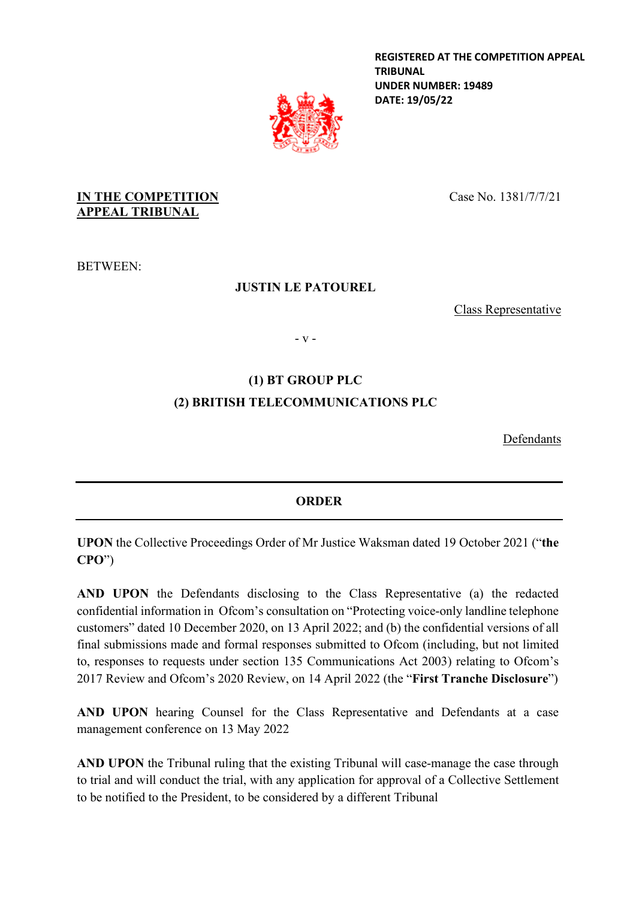**REGISTERED AT THE COMPETITION APPEAL TRIBUNAL UNDER NUMBER: 19489 DATE: 19/05/22**



### **IN THE COMPETITION APPEAL TRIBUNAL**

Case No. 1381/7/7/21

BETWEEN:

### **JUSTIN LE PATOUREL**

Class Representative

- v -

# **(1) BT GROUP PLC (2) BRITISH TELECOMMUNICATIONS PLC**

Defendants

## **ORDER**

**UPON** the Collective Proceedings Order of Mr Justice Waksman dated 19 October 2021 ("**the CPO**")

**AND UPON** the Defendants disclosing to the Class Representative (a) the redacted confidential information in Ofcom's consultation on "Protecting voice-only landline telephone customers" dated 10 December 2020, on 13 April 2022; and (b) the confidential versions of all final submissions made and formal responses submitted to Ofcom (including, but not limited to, responses to requests under section 135 Communications Act 2003) relating to Ofcom's 2017 Review and Ofcom's 2020 Review, on 14 April 2022 (the "**First Tranche Disclosure**")

**AND UPON** hearing Counsel for the Class Representative and Defendants at a case management conference on 13 May 2022

**AND UPON** the Tribunal ruling that the existing Tribunal will case-manage the case through to trial and will conduct the trial, with any application for approval of a Collective Settlement to be notified to the President, to be considered by a different Tribunal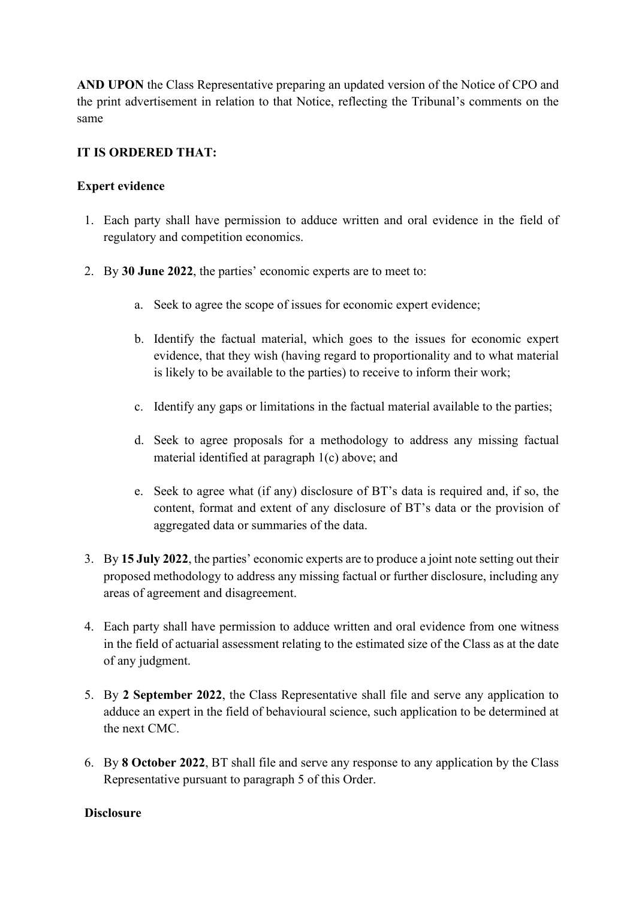**AND UPON** the Class Representative preparing an updated version of the Notice of CPO and the print advertisement in relation to that Notice, reflecting the Tribunal's comments on the same

### **IT IS ORDERED THAT:**

### **Expert evidence**

- 1. Each party shall have permission to adduce written and oral evidence in the field of regulatory and competition economics.
- 2. By **30 June 2022**, the parties' economic experts are to meet to:
	- a. Seek to agree the scope of issues for economic expert evidence;
	- b. Identify the factual material, which goes to the issues for economic expert evidence, that they wish (having regard to proportionality and to what material is likely to be available to the parties) to receive to inform their work;
	- c. Identify any gaps or limitations in the factual material available to the parties;
	- d. Seek to agree proposals for a methodology to address any missing factual material identified at paragraph 1(c) above; and
	- e. Seek to agree what (if any) disclosure of BT's data is required and, if so, the content, format and extent of any disclosure of BT's data or the provision of aggregated data or summaries of the data.
- 3. By **15 July 2022**, the parties' economic experts are to produce a joint note setting out their proposed methodology to address any missing factual or further disclosure, including any areas of agreement and disagreement.
- 4. Each party shall have permission to adduce written and oral evidence from one witness in the field of actuarial assessment relating to the estimated size of the Class as at the date of any judgment.
- 5. By **2 September 2022**, the Class Representative shall file and serve any application to adduce an expert in the field of behavioural science, such application to be determined at the next CMC.
- 6. By **8 October 2022**, BT shall file and serve any response to any application by the Class Representative pursuant to paragraph 5 of this Order.

#### **Disclosure**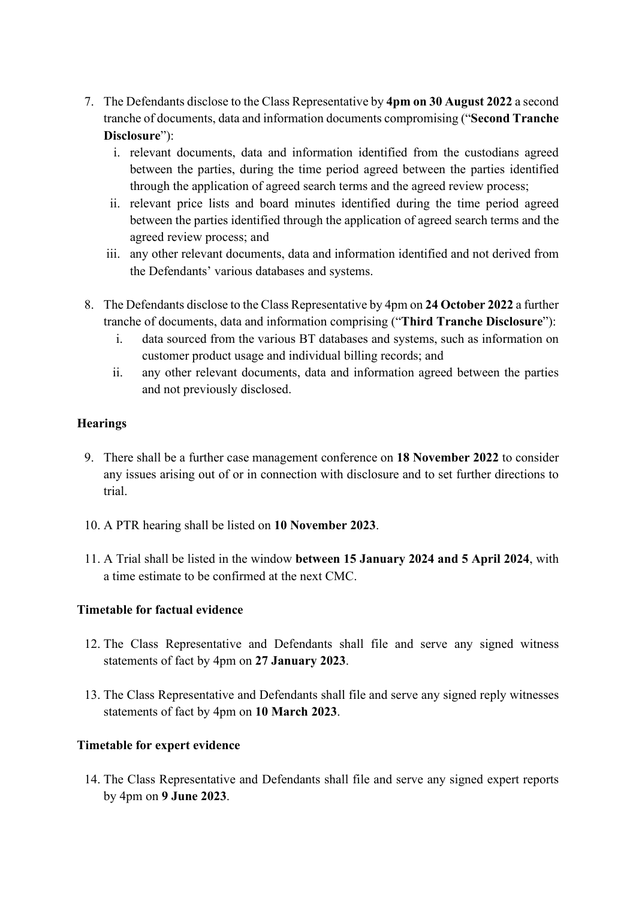- 7. The Defendants disclose to the Class Representative by **4pm on 30 August 2022** a second tranche of documents, data and information documents compromising ("**Second Tranche Disclosure**"):
	- i. relevant documents, data and information identified from the custodians agreed between the parties, during the time period agreed between the parties identified through the application of agreed search terms and the agreed review process;
	- ii. relevant price lists and board minutes identified during the time period agreed between the parties identified through the application of agreed search terms and the agreed review process; and
	- iii. any other relevant documents, data and information identified and not derived from the Defendants' various databases and systems.
- 8. The Defendants disclose to the Class Representative by 4pm on **24 October 2022** a further tranche of documents, data and information comprising ("**Third Tranche Disclosure**"):
	- i. data sourced from the various BT databases and systems, such as information on customer product usage and individual billing records; and
	- ii. any other relevant documents, data and information agreed between the parties and not previously disclosed.

### **Hearings**

- 9. There shall be a further case management conference on **18 November 2022** to consider any issues arising out of or in connection with disclosure and to set further directions to trial.
- 10. A PTR hearing shall be listed on **10 November 2023**.
- 11. A Trial shall be listed in the window **between 15 January 2024 and 5 April 2024**, with a time estimate to be confirmed at the next CMC.

### **Timetable for factual evidence**

- 12. The Class Representative and Defendants shall file and serve any signed witness statements of fact by 4pm on **27 January 2023**.
- 13. The Class Representative and Defendants shall file and serve any signed reply witnesses statements of fact by 4pm on **10 March 2023**.

### **Timetable for expert evidence**

14. The Class Representative and Defendants shall file and serve any signed expert reports by 4pm on **9 June 2023**.